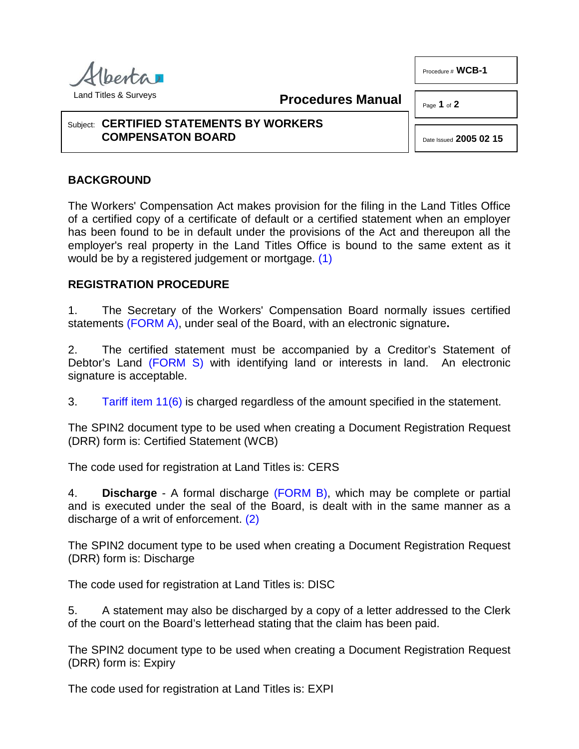

Land Titles & Surveys

**Procedures Manual**

Page **1** of **2**

Procedure # **WCB-1**

## Subject: **CERTIFIED STATEMENTS BY WORKERS COMPENSATON BOARD**

<span id="page-0-0"></span>Date Issued **2005 02 15**

## **BACKGROUND**

The Workers' Compensation Act makes provision for the filing in the Land Titles Office of a certified copy of a certificate of default or a certified statement when an employer has been found to be in default under the provisions of the Act and thereupon all the employer's real property in the Land Titles Office is bound to the same extent as it would be by a registered judgement or mortgage. [\(1\)](#page-1-0)

## **REGISTRATION PROCEDURE**

1. The Secretary of the Workers' Compensation Board normally issues certified statements [\(FORM A\),](http://www.servicealberta.ca/pdf/ltmanual/WCB-1-FORMA.pdf) under seal of the Board, with an electronic signature**.**

2. The certified statement must be accompanied by a Creditor's Statement of Debtor's Land [\(FORM S\)](http://www.servicealberta.ca/pdf/ltmanual/FORMS.PDF) with identifying land or interests in land. An electronic signature is acceptable.

3. [Tariff item 11\(6\)](http://www.servicealberta.ca/pdf/ltmanual/APPENDIXI.PDF) is charged regardless of the amount specified in the statement.

The SPIN2 document type to be used when creating a Document Registration Request (DRR) form is: Certified Statement (WCB)

The code used for registration at Land Titles is: CERS

<span id="page-0-1"></span>4. **Discharge** - A formal discharge [\(FORM B\),](http://www.servicealberta.ca/pdf/ltmanual/WCB-1-FORMB.PDF) which may be complete or partial and is executed under the seal of the Board, is dealt with in the same manner as a discharge of a writ of enforcement. [\(2\)](#page-1-1)

The SPIN2 document type to be used when creating a Document Registration Request (DRR) form is: Discharge

The code used for registration at Land Titles is: DISC

5. A statement may also be discharged by a copy of a letter addressed to the Clerk of the court on the Board's letterhead stating that the claim has been paid.

The SPIN2 document type to be used when creating a Document Registration Request (DRR) form is: Expiry

The code used for registration at Land Titles is: EXPI